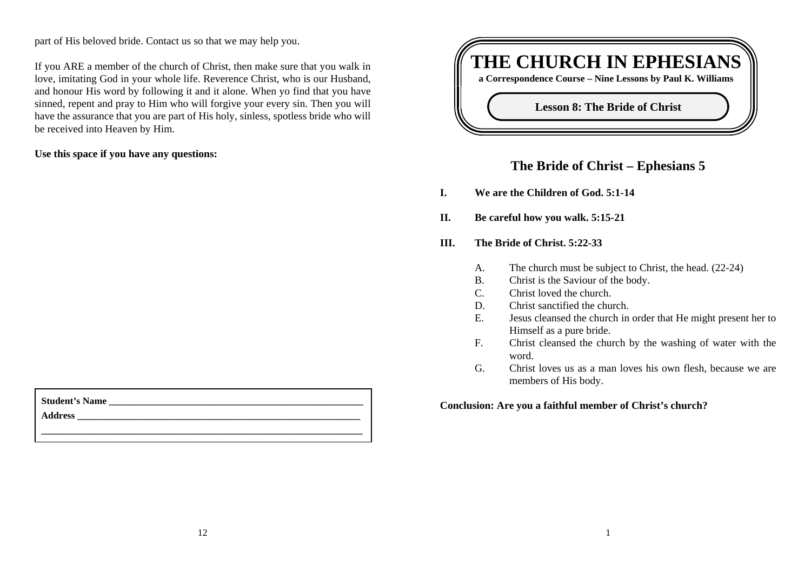part of His beloved bride. Contact us so that we may help you.

If you ARE a member of the church of Christ, then make sure that you walk in love, imitating God in your whole life. Reverence Christ, who is our Husband, and honour His word by following it and it alone. When yo find that you have sinned, repent and pray to Him who will forgive your every sin. Then you will have the assurance that you are part of His holy, sinless, spotless bride who will be received into Heaven by Him.

**Use this space if you have any questions:**



# **The Bride of Christ – Ephesians 5**

- **I. We are the Children of God. 5:1-14**
- **II. Be careful how you walk. 5:15-21**
- **III. The Bride of Christ. 5:22-33**
	- A. The church must be subject to Christ, the head. (22-24)
	- B. Christ is the Saviour of the body.
	- C. Christ loved the church.
	- D. Christ sanctified the church.
	- E. Jesus cleansed the church in order that He might present her to Himself as a pure bride.
	- F. Christ cleansed the church by the washing of water with the word.
	- G. Christ loves us as a man loves his own flesh, because we are members of His body.

**Conclusion: Are you a faithful member of Christ's church?**

| <b>Student's Name</b> |  |  |
|-----------------------|--|--|
| <b>Address</b>        |  |  |
|                       |  |  |
|                       |  |  |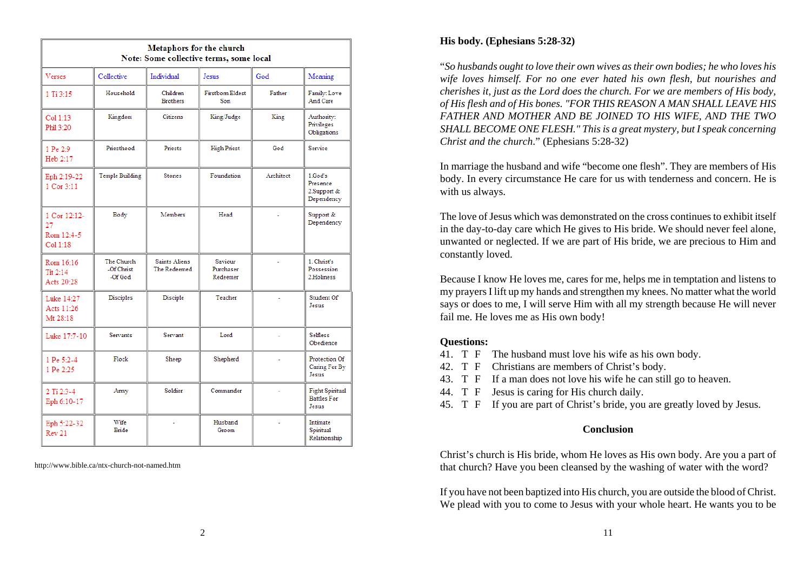| <b>Metaphors for the church</b><br>Note: Some collective terms, some local |                                     |                                      |                                  |           |                                                       |  |  |  |
|----------------------------------------------------------------------------|-------------------------------------|--------------------------------------|----------------------------------|-----------|-------------------------------------------------------|--|--|--|
| Verses                                                                     | Collective                          | Individual                           | Jesus                            | God       | Meaning                                               |  |  |  |
| $1$ Ti $3:15$                                                              | Household                           | Children<br><b>Brothers</b>          | <b>Firstborn Eldest</b><br>Son   | Father    | Family: Love<br>And Care                              |  |  |  |
| Col 1:13<br>Phil 3-20                                                      | Kingdom                             | Citizens                             | King/Judge                       | King      | Authority:<br>Privileges<br>Obligations               |  |  |  |
| 1 Pe 2:9<br>Heb 2:17                                                       | Priesthood                          | <b>Priests</b>                       | <b>High Priest</b>               | God       | Service                                               |  |  |  |
| Eph 2:19-22<br>1 Cor 3:11                                                  | Temple Building                     | <b>Stones</b>                        | Foundation                       | Architect | 1.God's<br>Presence<br>2. Support &<br>Dependency     |  |  |  |
| 1 Cor 12:12-<br>27<br>Rom 12:4-5<br>Col 1:18                               | Body                                | <b>Members</b>                       | Head                             |           | Support &<br>Dependency                               |  |  |  |
| Rom 16:16<br>$T_{11}$ 2-14<br>Acts 20:28                                   | The Church<br>-Of Christ<br>-Of God | <b>Saints Aliens</b><br>The Redeemed | Saviour<br>Purchaser<br>Redeemer |           | 1. Christ's<br>Possession<br>2.Holiness               |  |  |  |
| Luke 14:27<br>Acts 11-26<br>Mt 28:18                                       | Disciples                           | Disciple                             | Teacher                          |           | Student Of<br>Jesus                                   |  |  |  |
| Luke 17:7-10                                                               | Servants                            | Servant                              | Lord                             | ä,        | Selfless<br>Obedience                                 |  |  |  |
| 1 Pe 5:2-4<br>1 Pe 2:25                                                    | Flock                               | Sheep                                | Shepherd                         |           | Protection Of<br>Caring For By<br>Jesus               |  |  |  |
| 2 Ti 2:3-4<br>Eph 6:10-17                                                  | Army                                | Soldier                              | Commander                        |           | <b>Fight Spiritual</b><br><b>Battles For</b><br>Jesus |  |  |  |
| Eph 5:22-32<br>Rev 21                                                      | Wife<br>Bride                       |                                      | Husband<br>Groom                 |           | Intimate<br>Spiritual<br>Relationship                 |  |  |  |

http://www.bible.ca/ntx-church-not-named.htm

#### **His body. (Ephesians 5:28-32)**

"*So husbands ought to love their own wives as their own bodies; he who loves his wife loves himself. For no one ever hated his own flesh, but nourishes and cherishes it, just as the Lord does the church. For we are members of His body, of His flesh and of His bones. "FOR THIS REASON A MAN SHALL LEAVE HIS FATHER AND MOTHER AND BE JOINED TO HIS WIFE, AND THE TWO SHALL BECOME ONE FLESH." This is a great mystery, but I speak concerning Christ and the church*." (Ephesians 5:28-32)

In marriage the husband and wife "become one flesh". They are members of His body. In every circumstance He care for us with tenderness and concern. He is with us always.

The love of Jesus which was demonstrated on the cross continues to exhibit itselfin the day-to-day care which He gives to His bride. We should never feel alone, unwanted or neglected. If we are part of His bride, we are precious to Him and constantly loved.

Because I know He loves me, cares for me, helps me in temptation and listens to my prayers I lift up my hands and strengthen my knees. No matter what the world says or does to me, I will serve Him with all my strength because He will never fail me. He loves me as His own body!

#### **Questions:**

- 41. T F The husband must love his wife as his own body.
- 42. T F Christians are members of Christ's body.
- 43. T F If a man does not love his wife he can still go to heaven.
- 44. T F Jesus is caring for His church daily.
- 45. T F If you are part of Christ's bride, you are greatly loved by Jesus.

## **Conclusion**

Christ's church is His bride, whom He loves as His own body. Are you a part of that church? Have you been cleansed by the washing of water with the word?

If you have not been baptized into His church, you are outside the blood of Christ. We plead with you to come to Jesus with your whole heart. He wants you to be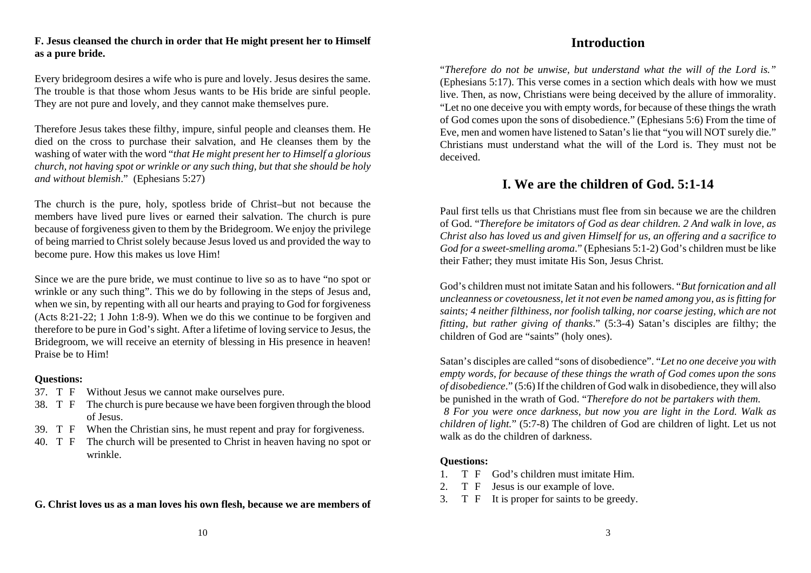#### **F. Jesus cleansed the church in order that He might present her to Himself as a pure bride.**

Every bridegroom desires a wife who is pure and lovely. Jesus desires the same. The trouble is that those whom Jesus wants to be His bride are sinful people. They are not pure and lovely, and they cannot make themselves pure.

Therefore Jesus takes these filthy, impure, sinful people and cleanses them. He died on the cross to purchase their salvation, and He cleanses them by the washing of water with the word "*that He might present her to Himself a glorious church, not having spot or wrinkle or any such thing, but that she should be holy and without blemish*." (Ephesians 5:27)

The church is the pure, holy, spotless bride of Christ–but not because the members have lived pure lives or earned their salvation. The church is pure because of forgiveness given to them by the Bridegroom. We enjoy the privilege of being married to Christ solely because Jesus loved us and provided the way to become pure. How this makes us love Him!

Since we are the pure bride, we must continue to live so as to have "no spot or wrinkle or any such thing". This we do by following in the steps of Jesus and, when we sin, by repenting with all our hearts and praying to God for forgiveness (Acts 8:21-22; 1 John 1:8-9). When we do this we continue to be forgiven and therefore to be pure in God's sight. After a lifetime of loving service to Jesus, the Bridegroom, we will receive an eternity of blessing in His presence in heaven! Praise be to Him!

#### **Questions:**

- 37. T F Without Jesus we cannot make ourselves pure.
- 38. T F The church is pure because we have been forgiven through the blood of Jesus.
- 39. T F When the Christian sins, he must repent and pray for forgiveness.
- 40. T F The church will be presented to Christ in heaven having no spot or wrinkle.

#### **G. Christ loves us as a man loves his own flesh, because we are members of**

# **Introduction**

"*Therefore do not be unwise, but understand what the will of the Lord is."* (Ephesians 5:17). This verse comes in a section which deals with how we must live. Then, as now, Christians were being deceived by the allure of immorality. "Let no one deceive you with empty words, for because of these things the wrath of God comes upon the sons of disobedience." (Ephesians 5:6) From the time of Eve, men and women have listened to Satan's lie that "you will NOT surely die." Christians must understand what the will of the Lord is. They must not be deceived.

# **I. We are the children of God. 5:1-14**

Paul first tells us that Christians must flee from sin because we are the childrenof God. "*Therefore be imitators of God as dear children. 2 And walk in love, as Christ also has loved us and given Himself for us, an offering and a sacrifice to God for a sweet-smelling aroma*." (Ephesians 5:1-2) God's children must be like their Father; they must imitate His Son, Jesus Christ.

God's children must not imitate Satan and his followers. "*But fornication and all uncleanness or covetousness, let it not even be named among you, as is fitting for saints; 4 neither filthiness, nor foolish talking, nor coarse jesting, which are not fitting, but rather giving of thanks*." (5:3-4) Satan's disciples are filthy; the children of God are "saints" (holy ones).

Satan's disciples are called "sons of disobedience". "*Let no one deceive you with empty words, for because of these things the wrath of God comes upon the sons of disobedience*." (5:6) If the children of God walk in disobedience, they will also be punished in the wrath of God. "*Therefore do not be partakers with them. 8 For you were once darkness, but now you are light in the Lord. Walk as children of light.*" (5:7-8) The children of God are children of light. Let us not walk as do the children of darkness.

## **Questions:**

- 1. T F God's children must imitate Him.
- 2. T F Jesus is our example of love.
- 3. T F It is proper for saints to be greedy.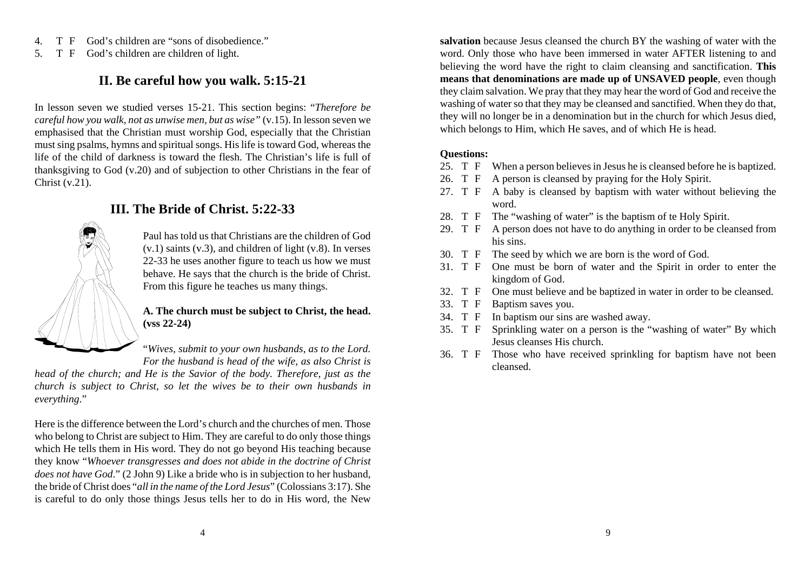- 4. T F God's children are "sons of disobedience."
- 5. T F God's children are children of light.

# **II. Be careful how you walk. 5:15-21**

In lesson seven we studied verses 15-21. This section begins: "*Therefore be careful how you walk, not as unwise men, but as wise"* (v.15). In lesson seven we emphasised that the Christian must worship God, especially that the Christian must sing psalms, hymns and spiritual songs. His life is toward God, whereas the life of the child of darkness is toward the flesh. The Christian's life is full ofthanksgiving to God (v.20) and of subjection to other Christians in the fear of Christ (v.21).

# Ç

# **III. The Bride of Christ. 5:22-33**

Paul has told us that Christians are the children of God $(v,1)$  saints  $(v,3)$ , and children of light  $(v,8)$ . In verses 22-33 he uses another figure to teach us how we must behave. He says that the church is the bride of Christ. From this figure he teaches us many things.

#### **A. The church must be subject to Christ, the head. (vss 22-24)**

"*Wives, submit to your own husbands, as to the Lord. For the husband is head of the wife, as also Christ is*

*head of the church; and He is the Savior of the body. Therefore, just as the church is subject to Christ, so let the wives be to their own husbands in everything*."

Here is the difference between the Lord's church and the churches of men. Those who belong to Christ are subject to Him. They are careful to do only those things which He tells them in His word. They do not go beyond His teaching because they know "*Whoever transgresses and does not abide in the doctrine of Christ does not have God*." (2 John 9) Like a bride who is in subjection to her husband, the bride of Christ does "*all in the name of the Lord Jesus*" (Colossians 3:17). She is careful to do only those things Jesus tells her to do in His word, the New **salvation** because Jesus cleansed the church BY the washing of water with the word. Only those who have been immersed in water AFTER listening to and believing the word have the right to claim cleansing and sanctification. **This means that denominations are made up of UNSAVED people**, even though they claim salvation. We pray that they may hear the word of God and receive the washing of water so that they may be cleansed and sanctified. When they do that, they will no longer be in a denomination but in the church for which Jesus died, which belongs to Him, which He saves, and of which He is head.

#### **Questions:**

- 25. T F When a person believes in Jesus he is cleansed before he is baptized.
- 26. T F A person is cleansed by praying for the Holy Spirit.
- 27. T F A baby is cleansed by baptism with water without believing the word.
- 28. T F The "washing of water" is the baptism of te Holy Spirit.
- 29. T F A person does not have to do anything in order to be cleansed from his sins.
- 30. T F The seed by which we are born is the word of God.
- 31. T F One must be born of water and the Spirit in order to enter the kingdom of God.
- 32. T F One must believe and be baptized in water in order to be cleansed.
- 33. T F Baptism saves you.
- 34. T F In baptism our sins are washed away.
- 35. T F Sprinkling water on a person is the "washing of water" By which Jesus cleanses His church.
- 36. T F Those who have received sprinkling for baptism have not been cleansed.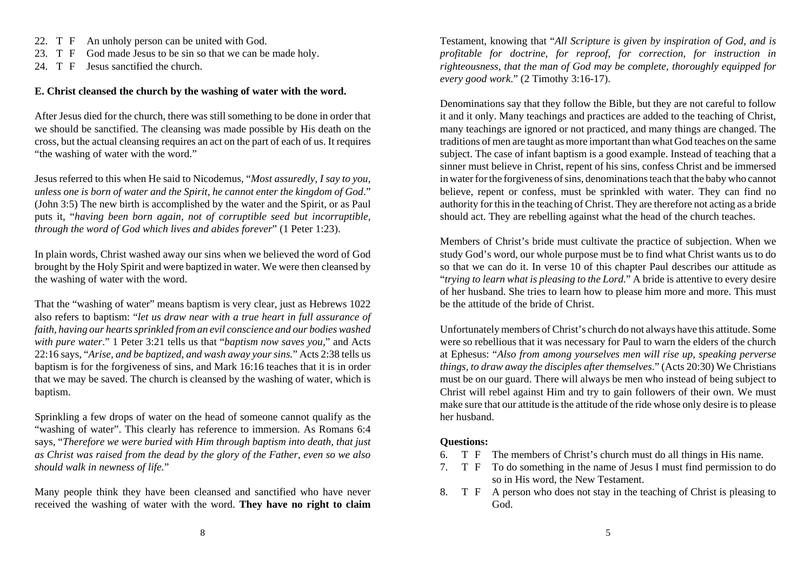22. T F An unholy person can be united with God.

23. T F God made Jesus to be sin so that we can be made holy.

24. T F Jesus sanctified the church.

## **E. Christ cleansed the church by the washing of water with the word.**

After Jesus died for the church, there was still something to be done in order that we should be sanctified. The cleansing was made possible by His death on the cross, but the actual cleansing requires an act on the part of each of us. It requires "the washing of water with the word."

Jesus referred to this when He said to Nicodemus, "*Most assuredly, I say to you, unless one is born of water and the Spirit, he cannot enter the kingdom of God*." (John 3:5) The new birth is accomplished by the water and the Spirit, or as Paul puts it, "*having been born again, not of corruptible seed but incorruptible, through the word of God which lives and abides forever*" (1 Peter 1:23).

In plain words, Christ washed away our sins when we believed the word of God brought by the Holy Spirit and were baptized in water. We were then cleansed by the washing of water with the word.

That the "washing of water" means baptism is very clear, just as Hebrews 1022 also refers to baptism: "*let us draw near with a true heart in full assurance of faith, having our hearts sprinkled from an evil conscience and our bodies washed with pure water*." 1 Peter 3:21 tells us that "*baptism now saves you,*" and Acts 22:16 says, "*Arise, and be baptized, and wash away your sins.*" Acts 2:38 tells us baptism is for the forgiveness of sins, and Mark 16:16 teaches that it is in order that we may be saved. The church is cleansed by the washing of water, which is baptism.

Sprinkling a few drops of water on the head of someone cannot qualify as the "washing of water". This clearly has reference to immersion. As Romans 6:4 says, "*Therefore we were buried with Him through baptism into death, that just as Christ was raised from the dead by the glory of the Father, even so we also should walk in newness of life.*"

Many people think they have been cleansed and sanctified who have never received the washing of water with the word. **They have no right to claim**

Testament, knowing that "*All Scripture is given by inspiration of God, and is profitable for doctrine, for reproof, for correction, for instruction in righteousness, that the man of God may be complete, thoroughly equipped for every good work*." (2 Timothy 3:16-17).

Denominations say that they follow the Bible, but they are not careful to follow it and it only. Many teachings and practices are added to the teaching of Christ, many teachings are ignored or not practiced, and many things are changed. The traditions of men are taught as more important than what God teaches on the same subject. The case of infant baptism is a good example. Instead of teaching that a sinner must believe in Christ, repent of his sins, confess Christ and be immersed in water for the forgiveness of sins, denominations teach that the baby who cannot believe, repent or confess, must be sprinkled with water. They can find no authority for this in the teaching of Christ. They are therefore not acting as a bride should act. They are rebelling against what the head of the church teaches.

Members of Christ's bride must cultivate the practice of subjection. When we study God's word, our whole purpose must be to find what Christ wants us to do so that we can do it. In verse 10 of this chapter Paul describes our attitude as "*trying to learn what is pleasing to the Lord.*" A bride is attentive to every desire of her husband. She tries to learn how to please him more and more. This must be the attitude of the bride of Christ.

Unfortunately members of Christ's church do not always have this attitude. Some were so rebellious that it was necessary for Paul to warn the elders of the church at Ephesus: "*Also from among yourselves men will rise up, speaking perverse things, to draw away the disciples after themselves*." (Acts 20:30) We Christians must be on our guard. There will always be men who instead of being subject to Christ will rebel against Him and try to gain followers of their own. We must make sure that our attitude is the attitude of the ride whose only desire is to please her husband.

## **Questions:**

- 6. T F The members of Christ's church must do all things in His name.
- 7. T F To do something in the name of Jesus I must find permission to do so in His word, the New Testament.
- 8. T F A person who does not stay in the teaching of Christ is pleasing to God.